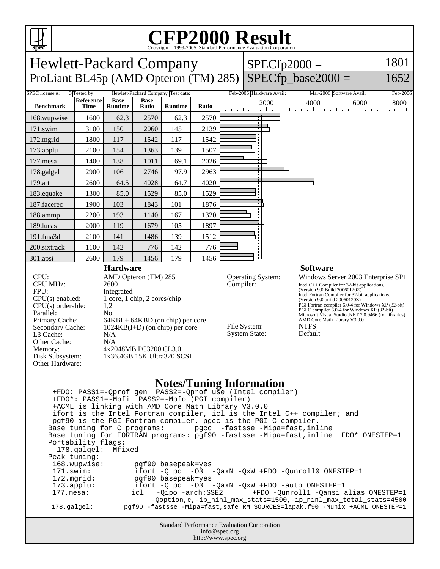

## **CFP2000 Result**

| spec<br>Copyright ©1999-2005, Standard Performance Evaluation Corporation                                                                                                                                                                                                                                                                                                                                                                                                                                                                                                                                          |      |                |       |                |           |                                                                  |                                                                                                                                                                                                                                                                                                                                                                                                                                                      |                                                                   |              |
|--------------------------------------------------------------------------------------------------------------------------------------------------------------------------------------------------------------------------------------------------------------------------------------------------------------------------------------------------------------------------------------------------------------------------------------------------------------------------------------------------------------------------------------------------------------------------------------------------------------------|------|----------------|-------|----------------|-----------|------------------------------------------------------------------|------------------------------------------------------------------------------------------------------------------------------------------------------------------------------------------------------------------------------------------------------------------------------------------------------------------------------------------------------------------------------------------------------------------------------------------------------|-------------------------------------------------------------------|--------------|
| <b>Hewlett-Packard Company</b><br>ProLiant BL45p (AMD Opteron (TM) 285)                                                                                                                                                                                                                                                                                                                                                                                                                                                                                                                                            |      |                |       |                |           |                                                                  | $SPECfp2000 =$                                                                                                                                                                                                                                                                                                                                                                                                                                       |                                                                   | 1801<br>1652 |
| $SPECfp\_base2000 =$                                                                                                                                                                                                                                                                                                                                                                                                                                                                                                                                                                                               |      |                |       |                |           |                                                                  |                                                                                                                                                                                                                                                                                                                                                                                                                                                      |                                                                   |              |
| SPEC license #:<br>3 Tested by:<br>Hewlett-Packard Company Test date:<br>Reference<br><b>Base</b><br><b>Base</b>                                                                                                                                                                                                                                                                                                                                                                                                                                                                                                   |      |                |       |                |           |                                                                  | Feb-2006 Hardware Avail:                                                                                                                                                                                                                                                                                                                                                                                                                             | Mar-2006 Software Avail:                                          | Feb-2006     |
| <b>Benchmark</b>                                                                                                                                                                                                                                                                                                                                                                                                                                                                                                                                                                                                   | Time | <b>Runtime</b> | Ratio | <b>Runtime</b> | Ratio     |                                                                  | 2000                                                                                                                                                                                                                                                                                                                                                                                                                                                 | 4000<br>6000<br>المتوجبا وتوكا كوريا وتوكا وتوجا وتوجا وتوجا وتوج | 8000         |
| 168.wupwise                                                                                                                                                                                                                                                                                                                                                                                                                                                                                                                                                                                                        | 1600 | 62.3           | 2570  | 62.3           | 2570      |                                                                  |                                                                                                                                                                                                                                                                                                                                                                                                                                                      |                                                                   |              |
| 171.swim                                                                                                                                                                                                                                                                                                                                                                                                                                                                                                                                                                                                           | 3100 | 150            | 2060  | 145            | 2139      |                                                                  | $\blacksquare$                                                                                                                                                                                                                                                                                                                                                                                                                                       |                                                                   |              |
| 172.mgrid                                                                                                                                                                                                                                                                                                                                                                                                                                                                                                                                                                                                          | 1800 | 117            | 1542  | 117            | 1542      |                                                                  |                                                                                                                                                                                                                                                                                                                                                                                                                                                      |                                                                   |              |
| 173.applu                                                                                                                                                                                                                                                                                                                                                                                                                                                                                                                                                                                                          | 2100 | 154            | 1363  | 139            | 1507      |                                                                  |                                                                                                                                                                                                                                                                                                                                                                                                                                                      |                                                                   |              |
| 177.mesa                                                                                                                                                                                                                                                                                                                                                                                                                                                                                                                                                                                                           | 1400 | 138            | 1011  | 69.1           | 2026      |                                                                  |                                                                                                                                                                                                                                                                                                                                                                                                                                                      |                                                                   |              |
| 178.galgel                                                                                                                                                                                                                                                                                                                                                                                                                                                                                                                                                                                                         | 2900 | 106            | 2746  | 97.9           | 2963      |                                                                  |                                                                                                                                                                                                                                                                                                                                                                                                                                                      |                                                                   |              |
| 179.art                                                                                                                                                                                                                                                                                                                                                                                                                                                                                                                                                                                                            | 2600 | 64.5           | 4028  | 64.7           | 4020      |                                                                  |                                                                                                                                                                                                                                                                                                                                                                                                                                                      |                                                                   |              |
| 183.equake                                                                                                                                                                                                                                                                                                                                                                                                                                                                                                                                                                                                         | 1300 | 85.0           | 1529  | 85.0           | 1529      |                                                                  |                                                                                                                                                                                                                                                                                                                                                                                                                                                      |                                                                   |              |
| 187.facerec                                                                                                                                                                                                                                                                                                                                                                                                                                                                                                                                                                                                        | 1900 | 103            | 1843  | 101            | 1876      |                                                                  |                                                                                                                                                                                                                                                                                                                                                                                                                                                      |                                                                   |              |
| 188.ammp                                                                                                                                                                                                                                                                                                                                                                                                                                                                                                                                                                                                           | 2200 | 193            | 1140  | 167            | 1320      |                                                                  |                                                                                                                                                                                                                                                                                                                                                                                                                                                      |                                                                   |              |
| 189.lucas                                                                                                                                                                                                                                                                                                                                                                                                                                                                                                                                                                                                          | 2000 | 119            | 1679  | 105            | 1897      |                                                                  |                                                                                                                                                                                                                                                                                                                                                                                                                                                      |                                                                   |              |
| 191.fma3d                                                                                                                                                                                                                                                                                                                                                                                                                                                                                                                                                                                                          | 2100 | 141            | 1486  | 139            | 1512      |                                                                  |                                                                                                                                                                                                                                                                                                                                                                                                                                                      |                                                                   |              |
| 200.sixtrack                                                                                                                                                                                                                                                                                                                                                                                                                                                                                                                                                                                                       | 1100 | 142            | 776   | 142            | 776       |                                                                  |                                                                                                                                                                                                                                                                                                                                                                                                                                                      |                                                                   |              |
| 301.apsi                                                                                                                                                                                                                                                                                                                                                                                                                                                                                                                                                                                                           | 2600 | 179            | 1456  | 179            | 1456      |                                                                  |                                                                                                                                                                                                                                                                                                                                                                                                                                                      |                                                                   |              |
| <b>Hardware</b><br>CPU:<br>AMD Opteron (TM) 285<br><b>CPU MHz:</b><br>2600<br>FPU:<br>Integrated<br>1 core, 1 chip, 2 cores/chip<br>$CPU(s)$ enabled:<br>$CPU(s)$ orderable:<br>1,2<br>Parallel:<br>N <sub>0</sub><br>Primary Cache:<br>$64KBI + 64KBD$ (on chip) per core<br>Secondary Cache:<br>$1024KB(I+D)$ (on chip) per core<br>L3 Cache:<br>N/A<br>Other Cache:<br>N/A<br>4x2048MB PC3200 CL3.0<br>Memory:<br>Disk Subsystem:<br>1x36.4GB 15K Ultra320 SCSI<br>Other Hardware:                                                                                                                              |      |                |       |                | Compiler: | <b>Operating System:</b><br>File System:<br><b>System State:</b> | <b>Software</b><br>Windows Server 2003 Enterprise SP1<br>Intel $C++$ Compiler for 32-bit applications,<br>(Version 9.0 Build 20060120Z)<br>Intel Fortran Compiler for 32-bit applications,<br>(Version 9.0 build 20060120Z)<br>PGI Fortran compiler 6.0-4 for Windows XP (32-bit)<br>PGI C compiler 6.0-4 for Windows XP (32-bit)<br>Microsoft Visual Studio .NET 7.0.9466 (for libraries)<br>AMD Core Math Library V3.0.0<br><b>NTFS</b><br>Default |                                                                   |              |
| <b>Notes/Tuning Information</b><br>+FDO*: PASS1=-Mpfi PASS2=-Mpfo (PGI compiler)<br>+ACML is linking with AMD Core Math Library V3.0.0<br>ifort is the Intel Fortran compiler, icl is the Intel C++ compiler; and<br>pgf90 is the PGI Fortran compiler, pgcc is the PGI C compiler.<br>Base tuning for C programs: pgcc -fastsse -Mipa=fast, inline<br>Base tuning for FORTRAN programs: pgf90 -fastsse -Mipa=fast, inline +FDO* ONESTEP=1<br>Portability flags:<br>178.galgel: - Mfixed<br>Peak tuning:<br>168.wupwise:<br>pgf90 basepeak=yes<br>ifort -Qipo -03 -QaxN -QxW +FDO -Qunroll0 ONESTEP=1<br>171.swim: |      |                |       |                |           |                                                                  |                                                                                                                                                                                                                                                                                                                                                                                                                                                      |                                                                   |              |

172.mgrid: pgf90 basepeak=yes<br>173.applu: ifort -Qipo -03 -173.applu: ifort -Qipo -O3 -QaxN -QxW +FDO -auto ONESTEP=1

 177.mesa: icl -Qipo -arch:SSE2 +FDO -Qunroll1 -Qansi\_alias ONESTEP=1 -Qoption,c,-ip\_ninl\_max\_stats=1500,-ip\_ninl\_max\_total\_stats=4500<br>pgf90 -fastsse -Mipa=fast,safe RM\_SOURCES=lapak.f90 -Munix +ACML ONESTEP=1 178.galgel: pgf90 -fastsse -Mipa=fast,safe RM\_SOURCES=lapak.f90 -Munix +ACML ONESTEP=1

> Standard Performance Evaluation Corporation info@spec.org http://www.spec.org